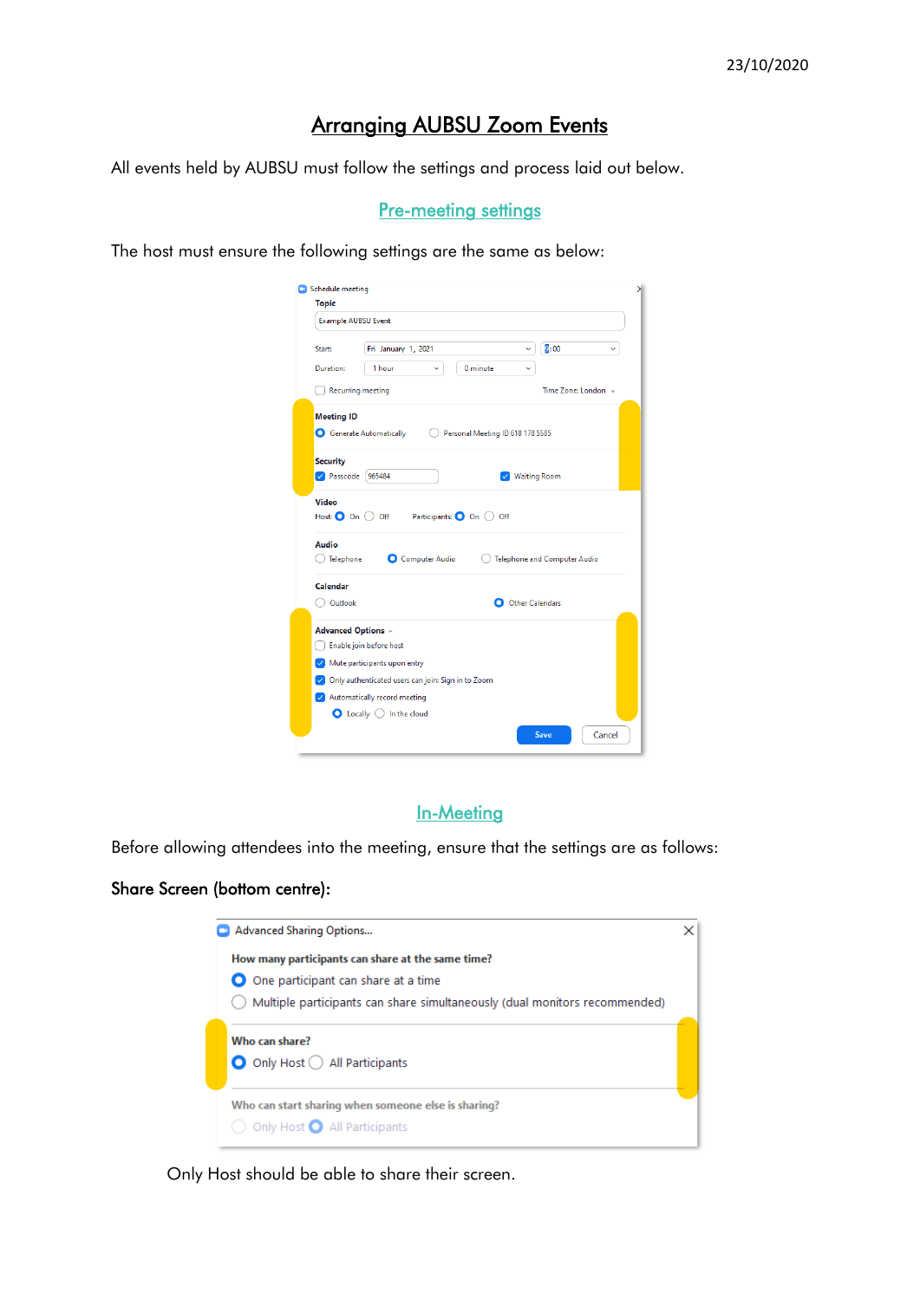# Arranging AUBSU Zoom Events

All events held by AUBSU must follow the settings and process laid out below.

### **Pre-meeting settings**

The host must ensure the following settings are the same as below:

| <b>Topic</b>                       |                                                    |                                  |                                    |
|------------------------------------|----------------------------------------------------|----------------------------------|------------------------------------|
| <b>Example AUBSU Event</b>         |                                                    |                                  |                                    |
| Start:                             | Fri January 1, 2021                                | v                                | $\overline{9}$ :00<br>$\checkmark$ |
| Duration:                          | 1 hour<br>$\checkmark$                             | 0 minute<br>v                    |                                    |
|                                    | <b>Recurring meeting</b>                           |                                  | Time Zone: London ~                |
| <b>Meeting ID</b>                  |                                                    |                                  |                                    |
|                                    | Generate Automatically                             | Personal Meeting ID 618 178 5585 |                                    |
| <b>Security</b>                    |                                                    |                                  |                                    |
| Passcode 965484                    |                                                    | <b>Waiting Room</b>              |                                    |
| <b>Video</b>                       |                                                    |                                  |                                    |
| Host: $\bigcirc$ On $\bigcirc$ Off |                                                    | Participants: O On O Off         |                                    |
| Audio                              |                                                    |                                  |                                    |
| Telephone                          | <b>O</b> Computer Audio                            |                                  | Telephone and Computer Audio       |
| Calendar                           |                                                    |                                  |                                    |
| Outlook                            |                                                    | O Other Calendars                |                                    |
| <b>Advanced Options ^</b>          |                                                    |                                  |                                    |
|                                    | Enable join before host                            |                                  |                                    |
|                                    | $\vee$ Mute participants upon entry                |                                  |                                    |
|                                    | Only authenticated users can join: Sign in to Zoom |                                  |                                    |
|                                    |                                                    |                                  |                                    |
| Automatically record meeting       | $\bullet$ Locally $\circlearrowright$ In the cloud |                                  |                                    |

# In-Meeting

Before allowing attendees into the meeting, ensure that the settings are as follows:

## Share Screen (bottom centre):

| <b>Advanced Sharing Options</b>                                            |  |
|----------------------------------------------------------------------------|--|
| How many participants can share at the same time?                          |  |
| O One participant can share at a time                                      |  |
| Multiple participants can share simultaneously (dual monitors recommended) |  |
| Who can share?<br>$\bigcirc$ Only Host $\bigcirc$ All Participants         |  |
| Who can start sharing when someone else is sharing?                        |  |
| Only Host <b>O</b> All Participants                                        |  |

Only Host should be able to share their screen.